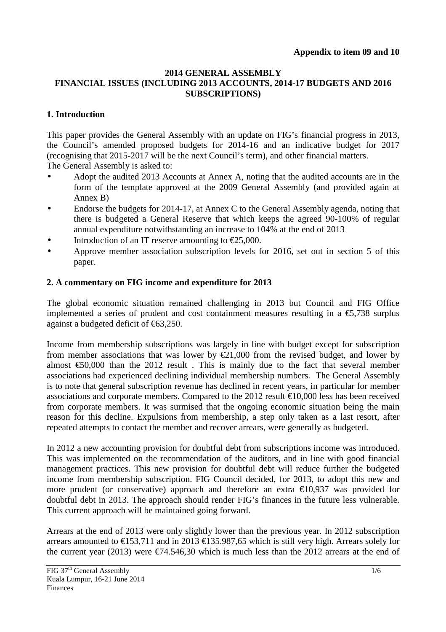#### **2014 GENERAL ASSEMBLY FINANCIAL ISSUES (INCLUDING 2013 ACCOUNTS, 2014-17 BUDGETS AND 2016 SUBSCRIPTIONS)**

## **1. Introduction**

This paper provides the General Assembly with an update on FIG's financial progress in 2013, the Council's amended proposed budgets for 2014-16 and an indicative budget for 2017 (recognising that 2015-2017 will be the next Council's term), and other financial matters. The General Assembly is asked to:

- Adopt the audited 2013 Accounts at Annex A, noting that the audited accounts are in the form of the template approved at the 2009 General Assembly (and provided again at Annex B)
- Endorse the budgets for 2014-17, at Annex C to the General Assembly agenda, noting that there is budgeted a General Reserve that which keeps the agreed 90-100% of regular annual expenditure notwithstanding an increase to 104% at the end of 2013
- Introduction of an IT reserve amounting to  $\epsilon$ 25,000.
- Approve member association subscription levels for 2016, set out in section 5 of this paper.

## **2. A commentary on FIG income and expenditure for 2013**

The global economic situation remained challenging in 2013 but Council and FIG Office implemented a series of prudent and cost containment measures resulting in a  $\epsilon$ 5,738 surplus against a budgeted deficit of €63,250.

Income from membership subscriptions was largely in line with budget except for subscription from member associations that was lower by  $\epsilon$ 21,000 from the revised budget, and lower by almost  $\epsilon$ 50,000 than the 2012 result. This is mainly due to the fact that several member associations had experienced declining individual membership numbers. The General Assembly is to note that general subscription revenue has declined in recent years, in particular for member associations and corporate members. Compared to the 2012 result  $\text{\textsterling}10,000$  less has been received from corporate members. It was surmised that the ongoing economic situation being the main reason for this decline. Expulsions from membership, a step only taken as a last resort, after repeated attempts to contact the member and recover arrears, were generally as budgeted.

In 2012 a new accounting provision for doubtful debt from subscriptions income was introduced. This was implemented on the recommendation of the auditors, and in line with good financial management practices. This new provision for doubtful debt will reduce further the budgeted income from membership subscription. FIG Council decided, for 2013, to adopt this new and more prudent (or conservative) approach and therefore an extra  $\epsilon$ 10,937 was provided for doubtful debt in 2013. The approach should render FIG's finances in the future less vulnerable. This current approach will be maintained going forward.

Arrears at the end of 2013 were only slightly lower than the previous year. In 2012 subscription arrears amounted to  $\epsilon$ 153,711 and in 2013  $\epsilon$ 135.987,6 which is still very high. Arrears solely for the current year (2013) were  $\epsilon$ 74.546,30 which is much less than the 2012 arrears at the end of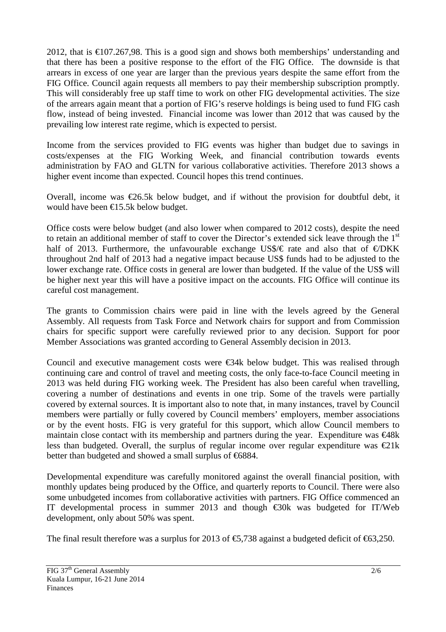2012, that is  $\epsilon$ 107.267,98. This is a good sign and shows both memberships' understanding and that there has been a positive response to the effort of the FIG Office. The downside is that arrears in excess of one year are larger than the previous years despite the same effort from the FIG Office. Council again requests all members to pay their membership subscription promptly. This will considerably free up staff time to work on other FIG developmental activities. The size of the arrears again meant that a portion of FIG's reserve holdings is being used to fund FIG cash flow, instead of being invested. Financial income was lower than 2012 that was caused by the prevailing low interest rate regime, which is expected to persist.

Income from the services provided to FIG events was higher than budget due to savings in costs/expenses at the FIG Working Week, and financial contribution towards events administration by FAO and GLTN for various collaborative activities. Therefore 2013 shows a higher event income than expected. Council hopes this trend continues.

Overall, income was  $\epsilon$ 26.5k below budget, and if without the provision for doubtful debt, it would have been €15.5k below budget.

Office costs were below budget (and also lower when compared to 2012 costs), despite the need to retain an additional member of staff to cover the Director's extended sick leave through the 1<sup>st</sup> half of 2013. Furthermore, the unfavourable exchange US\$/ $\epsilon$  rate and also that of  $\epsilon$ /DKK throughout 2nd half of 2013 had a negative impact because US\$ funds had to be adjusted to the lower exchange rate. Office costs in general are lower than budgeted. If the value of the US\$ will be higher next year this will have a positive impact on the accounts. FIG Office will continue its careful cost management.

The grants to Commission chairs were paid in line with the levels agreed by the General Assembly. All requests from Task Force and Network chairs for support and from Commission chairs for specific support were carefully reviewed prior to any decision. Support for poor Member Associations was granted according to General Assembly decision in 2013.

Council and executive management costs were  $\epsilon$ 34k below budget. This was realised through continuing care and control of travel and meeting costs, the only face-to-face Council meeting in 2013 was held during FIG working week. The President has also been careful when travelling, covering a number of destinations and events in one trip. Some of the travels were partially covered by external sources. It is important also to note that, in many instances, travel by Council members were partially or fully covered by Council members' employers, member associations or by the event hosts. FIG is very grateful for this support, which allow Council members to maintain close contact with its membership and partners during the year. Expenditure was  $\epsilon$ 48k less than budgeted. Overall, the surplus of regular income over regular expenditure was  $\epsilon$ 21k better than budgeted and showed a small surplus of €6884.

Developmental expenditure was carefully monitored against the overall financial position, with monthly updates being produced by the Office, and quarterly reports to Council. There were also some unbudgeted incomes from collaborative activities with partners. FIG Office commenced an IT developmental process in summer 2013 and though  $\epsilon$ 30k was budgeted for IT/Web development, only about 50% was spent.

The final result therefore was a surplus for 2013 of  $\epsilon$ 5,738 against a budgeted deficit of  $\epsilon$ 63,250.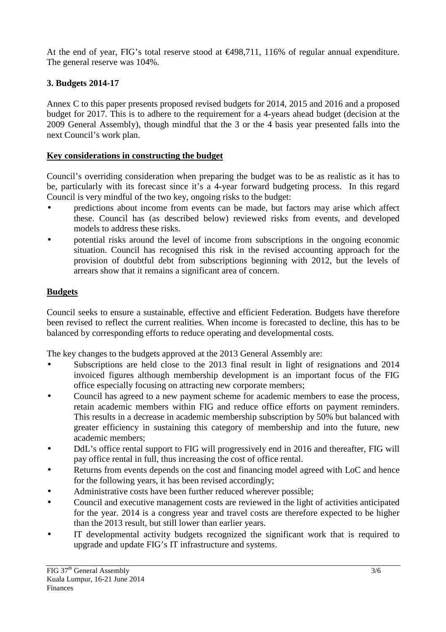At the end of year, FIG's total reserve stood at  $\epsilon$ 498,711, 116% of regular annual expenditure. The general reserve was 104%.

# **3. Budgets 2014-17**

Annex C to this paper presents proposed revised budgets for 2014, 2015 and 2016 and a proposed budget for 2017. This is to adhere to the requirement for a 4-years ahead budget (decision at the 2009 General Assembly), though mindful that the 3 or the 4 basis year presented falls into the next Council's work plan.

### **Key considerations in constructing the budget**

Council's overriding consideration when preparing the budget was to be as realistic as it has to be, particularly with its forecast since it's a 4-year forward budgeting process. In this regard Council is very mindful of the two key, ongoing risks to the budget:

- predictions about income from events can be made, but factors may arise which affect these. Council has (as described below) reviewed risks from events, and developed models to address these risks.
- potential risks around the level of income from subscriptions in the ongoing economic situation. Council has recognised this risk in the revised accounting approach for the provision of doubtful debt from subscriptions beginning with 2012, but the levels of arrears show that it remains a significant area of concern.

### **Budgets**

Council seeks to ensure a sustainable, effective and efficient Federation. Budgets have therefore been revised to reflect the current realities. When income is forecasted to decline, this has to be balanced by corresponding efforts to reduce operating and developmental costs.

The key changes to the budgets approved at the 2013 General Assembly are:

- Subscriptions are held close to the 2013 final result in light of resignations and 2014 invoiced figures although membership development is an important focus of the FIG office especially focusing on attracting new corporate members;
- Council has agreed to a new payment scheme for academic members to ease the process, retain academic members within FIG and reduce office efforts on payment reminders. This results in a decrease in academic membership subscription by 50% but balanced with greater efficiency in sustaining this category of membership and into the future, new academic members;
- DdL's office rental support to FIG will progressively end in 2016 and thereafter, FIG will pay office rental in full, thus increasing the cost of office rental.
- Returns from events depends on the cost and financing model agreed with LoC and hence for the following years, it has been revised accordingly;
- Administrative costs have been further reduced wherever possible;
- Council and executive management costs are reviewed in the light of activities anticipated for the year. 2014 is a congress year and travel costs are therefore expected to be higher than the 2013 result, but still lower than earlier years.
- IT developmental activity budgets recognized the significant work that is required to upgrade and update FIG's IT infrastructure and systems.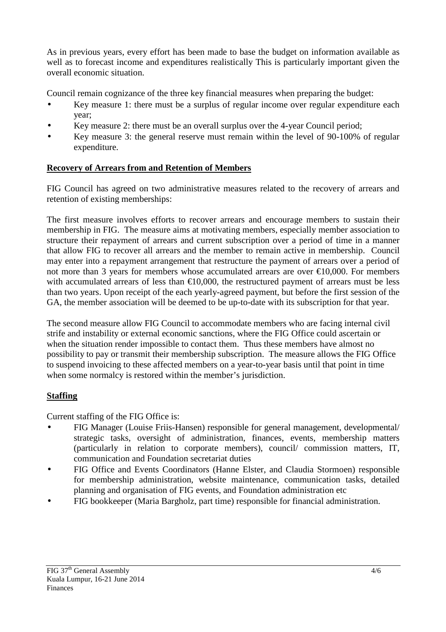As in previous years, every effort has been made to base the budget on information available as well as to forecast income and expenditures realistically This is particularly important given the overall economic situation.

Council remain cognizance of the three key financial measures when preparing the budget:

- Key measure 1: there must be a surplus of regular income over regular expenditure each year;
- Key measure 2: there must be an overall surplus over the 4-year Council period;
- Key measure 3: the general reserve must remain within the level of 90-100% of regular expenditure.

# **Recovery of Arrears from and Retention of Members**

FIG Council has agreed on two administrative measures related to the recovery of arrears and retention of existing memberships:

The first measure involves efforts to recover arrears and encourage members to sustain their membership in FIG. The measure aims at motivating members, especially member association to structure their repayment of arrears and current subscription over a period of time in a manner that allow FIG to recover all arrears and the member to remain active in membership. Council may enter into a repayment arrangement that restructure the payment of arrears over a period of not more than 3 years for members whose accumulated arrears are over  $\epsilon$ 10,000. For members with accumulated arrears of less than  $\text{\textsterling}10,000$ , the restructured payment of arrears must be less than two years. Upon receipt of the each yearly-agreed payment, but before the first session of the GA, the member association will be deemed to be up-to-date with its subscription for that year.

The second measure allow FIG Council to accommodate members who are facing internal civil strife and instability or external economic sanctions, where the FIG Office could ascertain or when the situation render impossible to contact them. Thus these members have almost no possibility to pay or transmit their membership subscription. The measure allows the FIG Office to suspend invoicing to these affected members on a year-to-year basis until that point in time when some normalcy is restored within the member's jurisdiction.

# **Staffing**

Current staffing of the FIG Office is:

- FIG Manager (Louise Friis-Hansen) responsible for general management, developmental/ strategic tasks, oversight of administration, finances, events, membership matters (particularly in relation to corporate members), council/ commission matters, IT, communication and Foundation secretariat duties
- FIG Office and Events Coordinators (Hanne Elster, and Claudia Stormoen) responsible for membership administration, website maintenance, communication tasks, detailed planning and organisation of FIG events, and Foundation administration etc
- FIG bookkeeper (Maria Bargholz, part time) responsible for financial administration.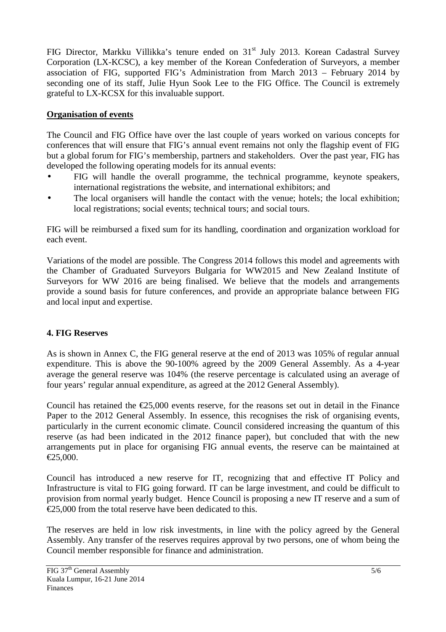FIG Director, Markku Villikka's tenure ended on 31<sup>st</sup> July 2013. Korean Cadastral Survey Corporation (LX-KCSC), a key member of the Korean Confederation of Surveyors, a member association of FIG, supported FIG's Administration from March 2013 – February 2014 by seconding one of its staff, Julie Hyun Sook Lee to the FIG Office. The Council is extremely grateful to LX-KCSX for this invaluable support.

## **Organisation of events**

The Council and FIG Office have over the last couple of years worked on various concepts for conferences that will ensure that FIG's annual event remains not only the flagship event of FIG but a global forum for FIG's membership, partners and stakeholders. Over the past year, FIG has developed the following operating models for its annual events:

- FIG will handle the overall programme, the technical programme, keynote speakers, international registrations the website, and international exhibitors; and
- The local organisers will handle the contact with the venue; hotels; the local exhibition; local registrations; social events; technical tours; and social tours.

FIG will be reimbursed a fixed sum for its handling, coordination and organization workload for each event.

Variations of the model are possible. The Congress 2014 follows this model and agreements with the Chamber of Graduated Surveyors Bulgaria for WW2015 and New Zealand Institute of Surveyors for WW 2016 are being finalised. We believe that the models and arrangements provide a sound basis for future conferences, and provide an appropriate balance between FIG and local input and expertise.

### **4. FIG Reserves**

As is shown in Annex C, the FIG general reserve at the end of 2013 was 105% of regular annual expenditure. This is above the 90-100% agreed by the 2009 General Assembly. As a 4-year average the general reserve was 104% (the reserve percentage is calculated using an average of four years' regular annual expenditure, as agreed at the 2012 General Assembly).

Council has retained the  $\epsilon$ 25,000 events reserve, for the reasons set out in detail in the Finance Paper to the 2012 General Assembly. In essence, this recognises the risk of organising events, particularly in the current economic climate. Council considered increasing the quantum of this reserve (as had been indicated in the 2012 finance paper), but concluded that with the new arrangements put in place for organising FIG annual events, the reserve can be maintained at  $£25,000.$ 

Council has introduced a new reserve for IT, recognizing that and effective IT Policy and Infrastructure is vital to FIG going forward. IT can be large investment, and could be difficult to provision from normal yearly budget. Hence Council is proposing a new IT reserve and a sum of  $\epsilon$ 25,000 from the total reserve have been dedicated to this.

The reserves are held in low risk investments, in line with the policy agreed by the General Assembly. Any transfer of the reserves requires approval by two persons, one of whom being the Council member responsible for finance and administration.